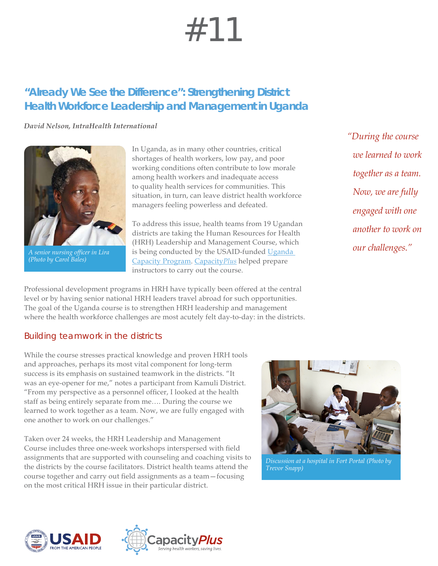# #11

## **"Already We See the Difference": Strengthening District Health Workforce Leadership and Management in Uganda**

*David Nelson, IntraHealth International*



*A senior nursing officer in Lira (Photo by Carol Bales)*

In Uganda, as in many other countries, critical shortages of health workers, low pay, and poor working conditions often contribute to low morale among health workers and inadequate access to quality health services for communities. This situation, in turn, can leave district health workforce managers feeling powerless and defeated.

To address this issue, health teams from 19 Ugandan districts are taking the Human Resources for Health (HRH) Leadership and Management Course, which is being conducted by the USAID-funded [Uganda](http://www.intrahealth.org/page/uganda-capacity-program)  [Capacity Program.](http://www.intrahealth.org/page/uganda-capacity-program) [Capacity](http://www.capacityplus.org)*Plus* helped prepare instructors to carry out the course.

Professional development programs in HRH have typically been offered at the central level or by having senior national HRH leaders travel abroad for such opportunities. The goal of the Uganda course is to strengthen HRH leadership and management where the health workforce challenges are most acutely felt day-to-day: in the districts.

### Building teamwork in the districts

While the course stresses practical knowledge and proven HRH tools and approaches, perhaps its most vital component for long-term success is its emphasis on sustained teamwork in the districts. "It was an eye-opener for me," notes a participant from Kamuli District. "From my perspective as a personnel officer, I looked at the health staff as being entirely separate from me…. During the course we learned to work together as a team. Now, we are fully engaged with one another to work on our challenges."

Taken over 24 weeks, the HRH Leadership and Management Course includes three one-week workshops interspersed with field assignments that are supported with counseling and coaching visits to the districts by the course facilitators. District health teams attend the course together and carry out field assignments as a team—focusing on the most critical HRH issue in their particular district.



*Discussion at a hospital in Fort Portal (Photo by Trevor Snapp)*





*"During the course we learned to work together as a team. Now, we are fully engaged with one another to work on our challenges."*